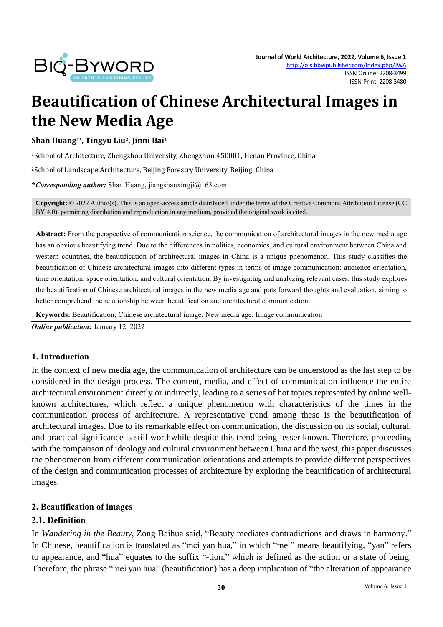

# **Beautification of Chinese Architectural Images in the New Media Age**

**Shan Huang1\* , Tingyu Liu2, Jinni Bai<sup>1</sup>**

<sup>1</sup>School of Architecture, Zhengzhou University, Zhengzhou 450001, Henan Province, China

<sup>2</sup>School of Landscape Architecture, Beijing Forestry University, Beijing, China

**\****Corresponding author:* Shan Huang, jiangshanxingji@163.com

**Copyright:** © 2022 Author(s). This is an open-access article distributed under the terms of th[e Creative Commons Attribution License \(CC](https://creativecommons.org/licenses/by/4.0/)  [BY 4.0\),](https://creativecommons.org/licenses/by/4.0/) permitting distribution and reproduction in any medium, provided the original work is cited.

**Abstract:** From the perspective of communication science, the communication of architectural images in the new media age has an obvious beautifying trend. Due to the differences in politics, economics, and cultural environment between China and western countries, the beautification of architectural images in China is a unique phenomenon. This study classifies the beautification of Chinese architectural images into different types in terms of image communication: audience orientation, time orientation, space orientation, and cultural orientation. By investigating and analyzing relevant cases, this study explores the beautification of Chinese architectural images in the new media age and puts forward thoughts and evaluation, aiming to better comprehend the relationship between beautification and architectural communication.

**Keywords:** Beautification; Chinese architectural image; New media age; Image communication

*Online publication:* January 12, 2022

#### **1. Introduction**

In the context of new media age, the communication of architecture can be understood as the last step to be considered in the design process. The content, media, and effect of communication influence the entire architectural environment directly or indirectly, leading to a series of hot topics represented by online wellknown architectures, which reflect a unique phenomenon with characteristics of the times in the communication process of architecture. A representative trend among these is the beautification of architectural images. Due to its remarkable effect on communication, the discussion on its social, cultural, and practical significance is still worthwhile despite this trend being lesser known. Therefore, proceeding with the comparison of ideology and cultural environment between China and the west, this paper discusses the phenomenon from different communication orientations and attempts to provide different perspectives of the design and communication processes of architecture by exploring the beautification of architectural images.

# **2. Beautification of images**

#### **2.1. Definition**

In *Wandering in the Beauty*, Zong Baihua said, "Beauty mediates contradictions and draws in harmony." In Chinese, beautification is translated as "mei yan hua," in which "mei" means beautifying, "yan" refers to appearance, and "hua" equates to the suffix "-tion," which is defined as the action or a state of being. Therefore, the phrase "mei yan hua" (beautification) has a deep implication of "the alteration of appearance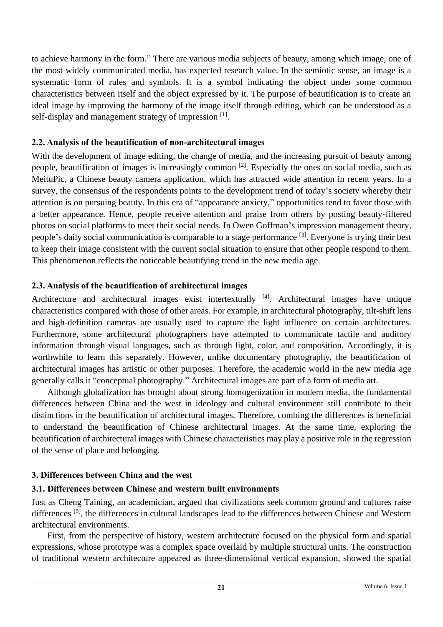to achieve harmony in the form." There are various media subjects of beauty, among which image, one of the most widely communicated media, has expected research value. In the semiotic sense, an image is a systematic form of rules and symbols. It is a symbol indicating the object under some common characteristics between itself and the object expressed by it. The purpose of beautification is to create an ideal image by improving the harmony of the image itself through editing, which can be understood as a self-display and management strategy of impression [1].

# **2.2. Analysis of the beautification of non-architectural images**

With the development of image editing, the change of media, and the increasing pursuit of beauty among people, beautification of images is increasingly common [2]. Especially the ones on social media, such as MeituPic, a Chinese beauty camera application, which has attracted wide attention in recent years. In a survey, the consensus of the respondents points to the development trend of today's society whereby their attention is on pursuing beauty. In this era of "appearance anxiety," opportunities tend to favor those with a better appearance. Hence, people receive attention and praise from others by posting beauty-filtered photos on social platforms to meet their social needs. In Owen Goffman's impression management theory, people's daily social communication is comparable to a stage performance <sup>[3]</sup>. Everyone is trying their best to keep their image consistent with the current social situation to ensure that other people respond to them. This phenomenon reflects the noticeable beautifying trend in the new media age.

# **2.3. Analysis of the beautification of architectural images**

Architecture and architectural images exist intertextually <sup>[4]</sup>. Architectural images have unique characteristics compared with those of other areas. For example, in architectural photography, tilt-shift lens and high-definition cameras are usually used to capture the light influence on certain architectures. Furthermore, some architectural photographers have attempted to communicate tactile and auditory information through visual languages, such as through light, color, and composition. Accordingly, it is worthwhile to learn this separately. However, unlike documentary photography, the beautification of architectural images has artistic or other purposes. Therefore, the academic world in the new media age generally calls it "conceptual photography." Architectural images are part of a form of media art.

Although globalization has brought about strong homogenization in modern media, the fundamental differences between China and the west in ideology and cultural environment still contribute to their distinctions in the beautification of architectural images. Therefore, combing the differences is beneficial to understand the beautification of Chinese architectural images. At the same time, exploring the beautification of architectural images with Chinese characteristics may play a positive role in the regression of the sense of place and belonging.

# **3. Differences between China and the west**

# **3.1. Differences between Chinese and western built environments**

Just as Cheng Taining, an academician, argued that civilizations seek common ground and cultures raise differences <sup>[5]</sup>, the differences in cultural landscapes lead to the differences between Chinese and Western architectural environments.

First, from the perspective of history, western architecture focused on the physical form and spatial expressions, whose prototype was a complex space overlaid by multiple structural units. The construction of traditional western architecture appeared as three-dimensional vertical expansion, showed the spatial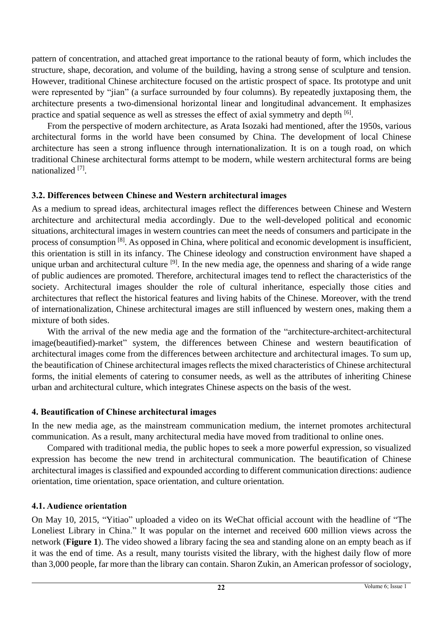pattern of concentration, and attached great importance to the rational beauty of form, which includes the structure, shape, decoration, and volume of the building, having a strong sense of sculpture and tension. However, traditional Chinese architecture focused on the artistic prospect of space. Its prototype and unit were represented by "jian" (a surface surrounded by four columns). By repeatedly juxtaposing them, the architecture presents a two-dimensional horizontal linear and longitudinal advancement. It emphasizes practice and spatial sequence as well as stresses the effect of axial symmetry and depth <sup>[6]</sup>.

From the perspective of modern architecture, as Arata Isozaki had mentioned, after the 1950s, various architectural forms in the world have been consumed by China. The development of local Chinese architecture has seen a strong influence through internationalization. It is on a tough road, on which traditional Chinese architectural forms attempt to be modern, while western architectural forms are being nationalized<sup>[7]</sup>.

# **3.2. Differences between Chinese and Western architectural images**

As a medium to spread ideas, architectural images reflect the differences between Chinese and Western architecture and architectural media accordingly. Due to the well-developed political and economic situations, architectural images in western countries can meet the needs of consumers and participate in the process of consumption <sup>[8]</sup>. As opposed in China, where political and economic development is insufficient, this orientation is still in its infancy. The Chinese ideology and construction environment have shaped a unique urban and architectural culture <sup>[9]</sup>. In the new media age, the openness and sharing of a wide range of public audiences are promoted. Therefore, architectural images tend to reflect the characteristics of the society. Architectural images shoulder the role of cultural inheritance, especially those cities and architectures that reflect the historical features and living habits of the Chinese. Moreover, with the trend of internationalization, Chinese architectural images are still influenced by western ones, making them a mixture of both sides.

With the arrival of the new media age and the formation of the "architecture-architect-architectural" image(beautified)-market" system, the differences between Chinese and western beautification of architectural images come from the differences between architecture and architectural images. To sum up, the beautification of Chinese architectural images reflects the mixed characteristics of Chinese architectural forms, the initial elements of catering to consumer needs, as well as the attributes of inheriting Chinese urban and architectural culture, which integrates Chinese aspects on the basis of the west.

# **4. Beautification of Chinese architectural images**

In the new media age, as the mainstream communication medium, the internet promotes architectural communication. As a result, many architectural media have moved from traditional to online ones.

Compared with traditional media, the public hopes to seek a more powerful expression, so visualized expression has become the new trend in architectural communication. The beautification of Chinese architectural images is classified and expounded according to different communication directions: audience orientation, time orientation, space orientation, and culture orientation.

# **4.1. Audience orientation**

On May 10, 2015, "Yitiao" uploaded a video on its WeChat official account with the headline of "The Loneliest Library in China." It was popular on the internet and received 600 million views across the network (**Figure 1**). The video showed a library facing the sea and standing alone on an empty beach as if it was the end of time. As a result, many tourists visited the library, with the highest daily flow of more than 3,000 people, far more than the library can contain. Sharon Zukin, an American professor of sociology,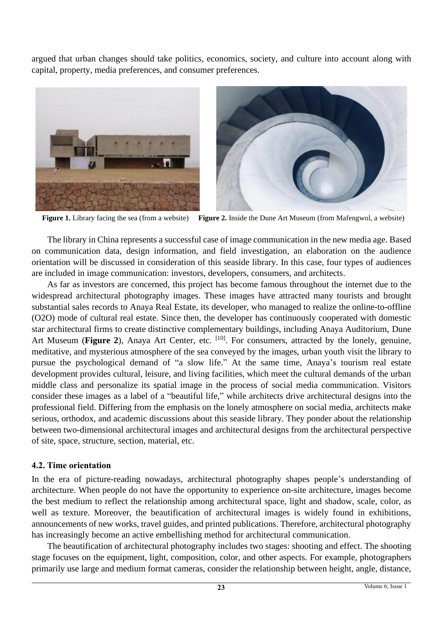argued that urban changes should take politics, economics, society, and culture into account along with capital, property, media preferences, and consumer preferences.





**Figure 1.** Library facing the sea (from a website) **Figure 2.** Inside the Dune Art Museum (from Mafengwol, a website)

The library in China represents a successful case of image communication in the new media age. Based on communication data, design information, and field investigation, an elaboration on the audience orientation will be discussed in consideration of this seaside library. In this case, four types of audiences are included in image communication: investors, developers, consumers, and architects.

As far as investors are concerned, this project has become famous throughout the internet due to the widespread architectural photography images. These images have attracted many tourists and brought substantial sales records to Anaya Real Estate, its developer, who managed to realize the online-to-offline (O2O) mode of cultural real estate. Since then, the developer has continuously cooperated with domestic star architectural firms to create distinctive complementary buildings, including Anaya Auditorium, Dune Art Museum (Figure 2), Anaya Art Center, etc. [10]. For consumers, attracted by the lonely, genuine, meditative, and mysterious atmosphere of the sea conveyed by the images, urban youth visit the library to pursue the psychological demand of "a slow life." At the same time, Anaya's tourism real estate development provides cultural, leisure, and living facilities, which meet the cultural demands of the urban middle class and personalize its spatial image in the process of social media communication. Visitors consider these images as a label of a "beautiful life," while architects drive architectural designs into the professional field. Differing from the emphasis on the lonely atmosphere on social media, architects make serious, orthodox, and academic discussions about this seaside library. They ponder about the relationship between two-dimensional architectural images and architectural designs from the architectural perspective of site, space, structure, section, material, etc.

#### **4.2. Time orientation**

In the era of picture-reading nowadays, architectural photography shapes people's understanding of architecture. When people do not have the opportunity to experience on-site architecture, images become the best medium to reflect the relationship among architectural space, light and shadow, scale, color, as well as texture. Moreover, the beautification of architectural images is widely found in exhibitions, announcements of new works, travel guides, and printed publications. Therefore, architectural photography has increasingly become an active embellishing method for architectural communication.

The beautification of architectural photography includes two stages: shooting and effect. The shooting stage focuses on the equipment, light, composition, color, and other aspects. For example, photographers primarily use large and medium format cameras, consider the relationship between height, angle, distance,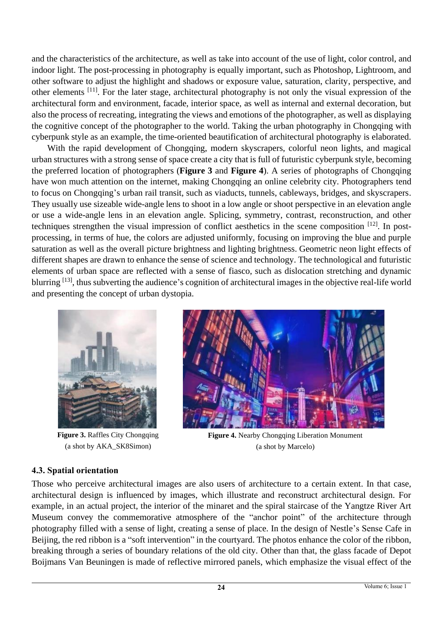and the characteristics of the architecture, as well as take into account of the use of light, color control, and indoor light. The post-processing in photography is equally important, such as Photoshop, Lightroom, and other software to adjust the highlight and shadows or exposure value, saturation, clarity, perspective, and other elements <sup>[11]</sup>. For the later stage, architectural photography is not only the visual expression of the architectural form and environment, facade, interior space, as well as internal and external decoration, but also the process of recreating, integrating the views and emotions of the photographer, as well as displaying the cognitive concept of the photographer to the world. Taking the urban photography in Chongqing with cyberpunk style as an example, the time-oriented beautification of architectural photography is elaborated.

With the rapid development of Chongqing, modern skyscrapers, colorful neon lights, and magical urban structures with a strong sense of space create a city that is full of futuristic cyberpunk style, becoming the preferred location of photographers (**Figure 3** and **Figure 4**). A series of photographs of Chongqing have won much attention on the internet, making Chongqing an online celebrity city. Photographers tend to focus on Chongqing's urban rail transit, such as viaducts, tunnels, cableways, bridges, and skyscrapers. They usually use sizeable wide-angle lens to shoot in a low angle or shoot perspective in an elevation angle or use a wide-angle lens in an elevation angle. Splicing, symmetry, contrast, reconstruction, and other techniques strengthen the visual impression of conflict aesthetics in the scene composition [12]. In postprocessing, in terms of hue, the colors are adjusted uniformly, focusing on improving the blue and purple saturation as well as the overall picture brightness and lighting brightness. Geometric neon light effects of different shapes are drawn to enhance the sense of science and technology. The technological and futuristic elements of urban space are reflected with a sense of fiasco, such as dislocation stretching and dynamic blurring <sup>[13]</sup>, thus subverting the audience's cognition of architectural images in the objective real-life world and presenting the concept of urban dystopia.



**Figure 3.** Raffles City Chongqing (a shot by AKA\_SK8Simon)



**Figure 4.** Nearby Chongqing Liberation Monument (a shot by Marcelo)

# **4.3. Spatial orientation**

Those who perceive architectural images are also users of architecture to a certain extent. In that case, architectural design is influenced by images, which illustrate and reconstruct architectural design. For example, in an actual project, the interior of the minaret and the spiral staircase of the Yangtze River Art Museum convey the commemorative atmosphere of the "anchor point" of the architecture through photography filled with a sense of light, creating a sense of place. In the design of Nestle's Sense Cafe in Beijing, the red ribbon is a "soft intervention" in the courtyard. The photos enhance the color of the ribbon, breaking through a series of boundary relations of the old city. Other than that, the glass facade of Depot Boijmans Van Beuningen is made of reflective mirrored panels, which emphasize the visual effect of the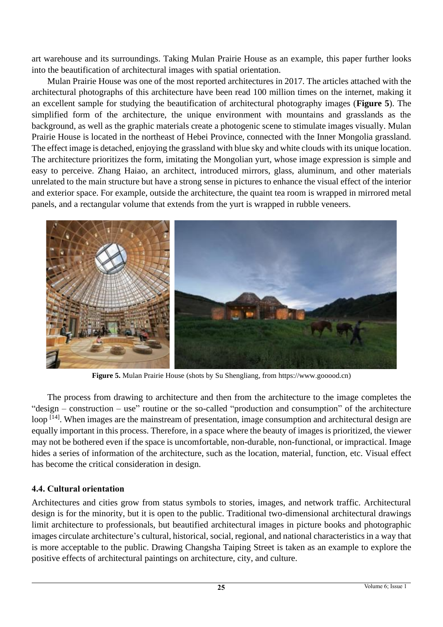art warehouse and its surroundings. Taking Mulan Prairie House as an example, this paper further looks into the beautification of architectural images with spatial orientation.

Mulan Prairie House was one of the most reported architectures in 2017. The articles attached with the architectural photographs of this architecture have been read 100 million times on the internet, making it an excellent sample for studying the beautification of architectural photography images (**Figure 5**). The simplified form of the architecture, the unique environment with mountains and grasslands as the background, as well as the graphic materials create a photogenic scene to stimulate images visually. Mulan Prairie House is located in the northeast of Hebei Province, connected with the Inner Mongolia grassland. The effect image is detached, enjoying the grassland with blue sky and white clouds with its unique location. The architecture prioritizes the form, imitating the Mongolian yurt, whose image expression is simple and easy to perceive. Zhang Haiao, an architect, introduced mirrors, glass, aluminum, and other materials unrelated to the main structure but have a strong sense in pictures to enhance the visual effect of the interior and exterior space. For example, outside the architecture, the quaint tea room is wrapped in mirrored metal panels, and a rectangular volume that extends from the yurt is wrapped in rubble veneers.



**Figure 5.** Mulan Prairie House (shots by Su Shengliang, from https://www.gooood.cn)

The process from drawing to architecture and then from the architecture to the image completes the "design – construction – use" routine or the so-called "production and consumption" of the architecture loop [14]. When images are the mainstream of presentation, image consumption and architectural design are equally important in this process. Therefore, in a space where the beauty of images is prioritized, the viewer may not be bothered even if the space is uncomfortable, non-durable, non-functional, or impractical. Image hides a series of information of the architecture, such as the location, material, function, etc. Visual effect has become the critical consideration in design.

# **4.4. Cultural orientation**

Architectures and cities grow from status symbols to stories, images, and network traffic. Architectural design is for the minority, but it is open to the public. Traditional two-dimensional architectural drawings limit architecture to professionals, but beautified architectural images in picture books and photographic images circulate architecture's cultural, historical, social, regional, and national characteristics in a way that is more acceptable to the public. Drawing Changsha Taiping Street is taken as an example to explore the positive effects of architectural paintings on architecture, city, and culture.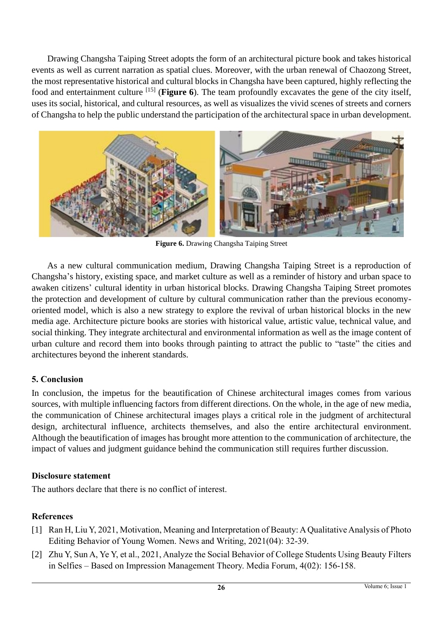Drawing Changsha Taiping Street adopts the form of an architectural picture book and takes historical events as well as current narration as spatial clues. Moreover, with the urban renewal of Chaozong Street, the most representative historical and cultural blocks in Changsha have been captured, highly reflecting the food and entertainment culture [15] (**Figure 6**). The team profoundly excavates the gene of the city itself, uses its social, historical, and cultural resources, as well as visualizes the vivid scenes of streets and corners of Changsha to help the public understand the participation of the architectural space in urban development.



**Figure 6.** Drawing Changsha Taiping Street

As a new cultural communication medium, Drawing Changsha Taiping Street is a reproduction of Changsha's history, existing space, and market culture as well as a reminder of history and urban space to awaken citizens' cultural identity in urban historical blocks. Drawing Changsha Taiping Street promotes the protection and development of culture by cultural communication rather than the previous economyoriented model, which is also a new strategy to explore the revival of urban historical blocks in the new media age. Architecture picture books are stories with historical value, artistic value, technical value, and social thinking. They integrate architectural and environmental information as well as the image content of urban culture and record them into books through painting to attract the public to "taste" the cities and architectures beyond the inherent standards.

# **5. Conclusion**

In conclusion, the impetus for the beautification of Chinese architectural images comes from various sources, with multiple influencing factors from different directions. On the whole, in the age of new media, the communication of Chinese architectural images plays a critical role in the judgment of architectural design, architectural influence, architects themselves, and also the entire architectural environment. Although the beautification of images has brought more attention to the communication of architecture, the impact of values and judgment guidance behind the communication still requires further discussion.

# **Disclosure statement**

The authors declare that there is no conflict of interest.

# **References**

- [1] Ran H, Liu Y, 2021, Motivation, Meaning and Interpretation of Beauty: A Qualitative Analysis of Photo Editing Behavior of Young Women. News and Writing, 2021(04): 32-39.
- [2] Zhu Y, Sun A, Ye Y, et al., 2021, Analyze the Social Behavior of College Students Using Beauty Filters in Selfies – Based on Impression Management Theory. Media Forum, 4(02): 156-158.